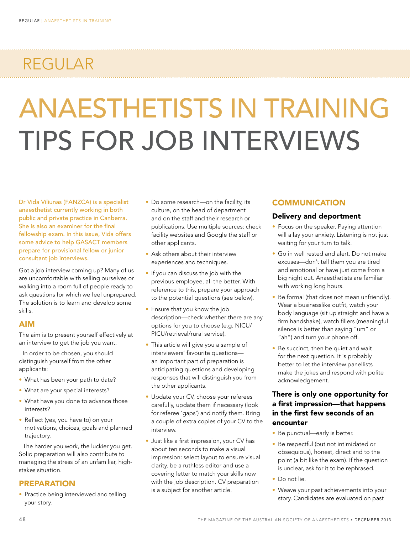# REGULAR

# anaesthetists in training Tips for job interviews

Dr Vida Viliunas (FANZCA) is a specialist anaesthetist currently working in both public and private practice in Canberra. She is also an examiner for the final fellowship exam. In this issue, Vida offers some advice to help GASACT members prepare for provisional fellow or junior consultant job interviews.

Got a job interview coming up? Many of us are uncomfortable with selling ourselves or walking into a room full of people ready to ask questions for which we feel unprepared. The solution is to learn and develop some skills.

# AIM

The aim is to present yourself effectively at an interview to get the job you want.

In order to be chosen, you should distinguish yourself from the other applicants:

- What has been your path to date?
- What are your special interests?
- What have you done to advance those interests?
- Reflect (yes, you have to) on your motivations, choices, goals and planned trajectory.

The harder you work, the luckier you get. Solid preparation will also contribute to managing the stress of an unfamiliar, highstakes situation.

# PREPARATION

• Practice being interviewed and telling your story.

- Do some research—on the facility, its culture, on the head of department and on the staff and their research or publications. Use multiple sources: check facility websites and Google the staff or other applicants.
- Ask others about their interview experiences and techniques.
- If you can discuss the job with the previous employee, all the better. With reference to this, prepare your approach to the potential questions (see below).
- Ensure that you know the job description—check whether there are any options for you to choose (e.g. NICU/ PICU/retrieval/rural service).
- This article will give you a sample of interviewers' favourite questions an important part of preparation is anticipating questions and developing responses that will distinguish you from the other applicants.
- Update your CV, choose your referees carefully, update them if necessary (look for referee 'gaps') and notify them. Bring a couple of extra copies of your CV to the interview.
- Just like a first impression, your CV has about ten seconds to make a visual impression: select layout to ensure visual clarity, be a ruthless editor and use a covering letter to match your skills now with the job description. CV preparation is a subject for another article.

# **COMMUNICATION**

#### Delivery and deportment

- Focus on the speaker. Paying attention will allay your anxiety. Listening is not just waiting for your turn to talk.
- Go in well rested and alert. Do not make excuses—don't tell them you are tired and emotional or have just come from a big night out. Anaesthetists are familiar with working long hours.
- Be formal (that does not mean unfriendly). Wear a businesslike outfit, watch your body language (sit up straight and have a firm handshake), watch fillers (meaningful silence is better than saying "um" or "ah") and turn your phone off.
- Be succinct, then be quiet and wait for the next question. It is probably better to let the interview panellists make the jokes and respond with polite acknowledgement.

# There is only one opportunity for a first impression—that happens in the first few seconds of an encounter

- Be punctual—early is better.
- Be respectful (but not intimidated or obsequious), honest, direct and to the point (a bit like the exam). If the question is unclear, ask for it to be rephrased.
- Do not lie.
- Weave your past achievements into your story. Candidates are evaluated on past